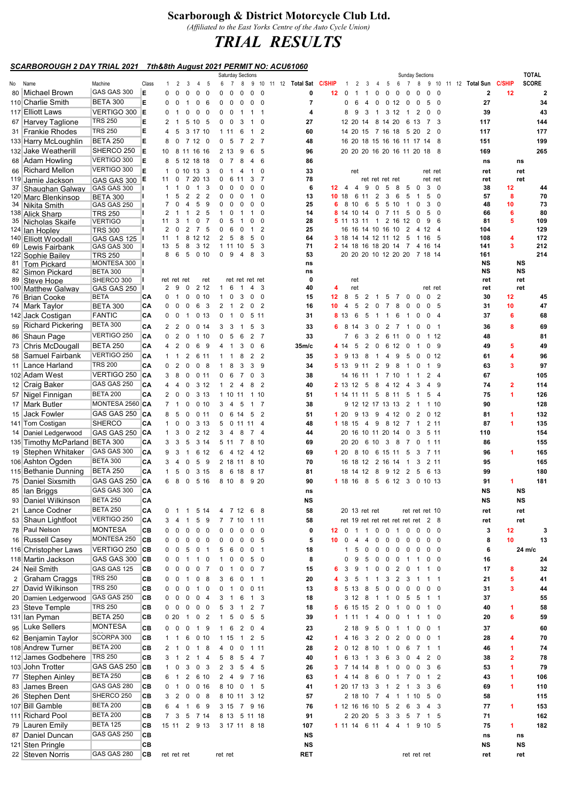## Scarborough & District Motorcycle Club Ltd.

(Affiliated to the East Yorks Centre of the Auto Cycle Union)

## TRIAL RESULTS

## SCARBOROUGH 2 DAY TRIAL 2021 7th&8th August 2021 PERMIT NO: ACU61060

|    |                                        |                                    |            |                     |                         |                                     |                                | Saturday Sections              |                |                                  |                         |                                |              |                |                     |                     |                     |                   |                                                       | <b>Sunday Sections</b>        |                 |                          |                                        |                                           |          | <b>TOTAL</b>                   |
|----|----------------------------------------|------------------------------------|------------|---------------------|-------------------------|-------------------------------------|--------------------------------|--------------------------------|----------------|----------------------------------|-------------------------|--------------------------------|--------------|----------------|---------------------|---------------------|---------------------|-------------------|-------------------------------------------------------|-------------------------------|-----------------|--------------------------|----------------------------------------|-------------------------------------------|----------|--------------------------------|
| No | Name<br>80 Michael Brown               | Machine<br>GAS GAS 300             | Class<br>Е | $\mathbf{1}$<br>0   | 2<br>0                  | 3<br>$\mathbf 0$<br>$\mathbf 0$     | - 5<br>4<br>$\mathbf 0$        | 6<br>$\overline{7}$<br>0<br>0  | 8<br>0         | 9<br>0                           | $\mathbf 0$             | 10 11 12 Total Sat C/SHIP<br>0 | 12           | -1<br>0        | 2<br>-1             | 3<br>1              | 4<br>0              | 5<br>0            | 6<br>0<br>0                                           | 7 8<br>$\mathbf 0$            | $\mathbf 0$     | $\overline{0}$           | 9 10 11 12 Total Sun<br>$\overline{2}$ | <b>C/SHIP</b><br>12                       |          | <b>SCORE</b><br>$\overline{2}$ |
|    | 110 Charlie Smith                      | <b>BETA 300</b>                    | Е          | 0                   | $\overline{\mathbf{0}}$ | $\overline{1}$                      | 0<br>- 6                       | $0\quad 0$                     | 0              | $\mathbf 0$                      | 0                       | $\overline{7}$                 |              | 0              | 6                   | $\overline{4}$      |                     |                   | $0$ 0 12 0                                            | $\overline{\mathbf{0}}$       | 5 0             |                          | 27                                     |                                           |          | 34                             |
|    | 117 Elliott Laws                       | VERTIGO 300 E                      |            | 0                   | $\overline{1}$          | 0<br>0                              | 0                              | 0<br>$\overline{\mathbf{0}}$   | $\overline{1}$ | $\mathbf{1}$                     | -1                      | 4                              |              | 8              | 9                   | $\mathbf{3}$        | $\overline{1}$      |                   | 3 12 1                                                | 2                             | $\mathbf 0$     | $\overline{\mathbf{0}}$  | 39                                     |                                           |          | 43                             |
|    | 67 Harvey Taglione                     | <b>TRS 250</b>                     | Е          | $\overline{2}$      | $\overline{1}$          | 5 10                                | - 5                            | $\overline{\mathbf{0}}$<br>0   | 3              | -1                               | $\mathbf 0$             | 27                             |              |                | 12 20 14            |                     |                     | 8 14 20           |                                                       | 6 13                          | 7 3             |                          | 117                                    |                                           |          | 144                            |
|    | 31 Frankie Rhodes                      | <b>TRS 250</b>                     | Е          | 4                   | -5                      | 3 17 10                             |                                | 1 1 1                          | 6              | $\overline{1}$                   | $\overline{2}$          | 60                             |              |                |                     |                     |                     |                   | 14 20 15 7 16 18 5 20                                 |                               | $2 \quad 0$     |                          | 117                                    |                                           |          | 177                            |
|    | 133 Harry McLoughlin                   | <b>BETA 250</b>                    | Е          | 8                   |                         | $0$ 7 12 0                          |                                | 0 <sub>5</sub>                 | $\overline{7}$ | 2<br>$\overline{7}$              |                         | 48                             |              |                |                     |                     |                     |                   | 16 20 18 15 16 16 11 17 14 8                          |                               |                 |                          | 151                                    |                                           |          | 199                            |
|    | 132 Jake Weatherill                    | SHERCO 250                         | E          | 10                  |                         | 8 11 16 16                          |                                | 2 13                           | 9              | 6                                | 5                       | 96                             |              |                |                     |                     |                     |                   | 20 20 20 16 20 16 11 20 18 8                          |                               |                 |                          | 169                                    |                                           |          | 265                            |
|    | 68 Adam Howling                        | VERTIGO 300                        | E          | 8                   |                         | 5 12 18 18                          |                                | 0 <sub>7</sub>                 | 8              | 4                                | 6                       | 86                             |              |                |                     |                     |                     |                   |                                                       |                               |                 |                          | ns                                     |                                           | ns       |                                |
|    | 66 Richard Mellon                      | VERTIGO 300                        | E          | 1                   |                         | $0$ 10 13 3                         |                                | $\mathbf{0}$<br>$\overline{1}$ | 4              | $\mathbf{1}$                     | 0                       | 33                             |              |                | ret                 |                     |                     |                   |                                                       |                               | ret ret         |                          | ret                                    |                                           | ret      |                                |
|    | 119 Jamie Jackson                      | GAS GAS 300 E                      |            | 11                  | $\mathbf 0$             | 7                                   | 20 13                          | 0<br>6                         | 11             | 3                                | 7                       | 78                             |              |                |                     |                     |                     | ret ret ret ret   |                                                       |                               | ret ret         |                          | ret                                    |                                           | ret      |                                |
| 37 | Shaughan Galway                        | GAS GAS 300                        |            | $\mathbf{1}$        | $\overline{1}$          | $\mathbf{1}$<br>0<br>$\overline{2}$ | 3<br>2                         | $\mathbf 0$<br>0<br>O          | 0              | 0                                | $\mathbf 0$<br>$\Omega$ | 6<br>13                        | $12 \quad 4$ |                | $\overline{4}$      | 9                   | 0                   | 5                 | - 8<br>-5                                             | $\overline{\mathbf{0}}$<br>-1 | 3<br>5          | $\overline{\mathbf{0}}$  | 38<br>57                               | 12<br>8                                   |          | 44<br>70                       |
|    | 120 Marc Blenkinsop<br>34 Nikita Smith | <b>BETA 300</b><br>GAS GAS 250     |            | 1<br>$\overline{7}$ | 0                       | 4                                   | $\overline{2}$<br>5<br>9       | 0<br>0<br>0                    |                | 0                                | 0                       | 25                             | 1018<br>6    | 8              | 6<br>10             | 11<br>6             | $\overline{2}$<br>5 | 3<br>5 10         | 6<br>5<br>-1                                          | 0                             | 3               | 0<br>$\mathbf 0$         | 48                                     | 10                                        |          | 73                             |
|    | 138 Alick Sharp                        | <b>TRS 250</b>                     |            | 2                   | -1                      | -1                                  | 2<br>5                         | 1<br>O                         |                |                                  | 0                       | 14                             | 8            | -14            | 10                  | 14                  | $\mathbf 0$         | 7 11              | 5                                                     | 0                             | 5               | $\mathbf 0$              | 66                                     | 6                                         |          | 80                             |
|    | 35 Nicholas Skaife                     | <b>VERTIGO</b>                     |            | 11                  | 3                       | 1                                   | $\overline{7}$<br>0            | 0<br>5                         |                | O                                | 0                       | 28                             |              |                | <b>5</b> 11 13 11 1 |                     |                     |                   | 2 16 12                                               | $\mathbf 0$                   | 9               | 6                        | 81                                     | 5                                         |          | 109                            |
|    | 124 Ian Hopley                         | <b>TRS 300</b>                     |            | 2                   | 0                       | 2                                   | $\overline{7}$<br>5            | 0<br>6                         |                |                                  | 2                       | 25                             |              |                |                     |                     |                     | 16 16 14 10 16 10 | $\overline{2}$                                        | $\overline{4}$                | 12              | -4                       | 104                                    |                                           |          | 129                            |
|    | 140 Elliott Woodall                    | GAS GAS 125                        |            | 11                  | $\overline{1}$          | 8 12 12                             |                                | 2<br>- 5                       | 8              | 5                                | $\mathbf 0$             | 64                             |              |                |                     |                     |                     |                   | <b>3</b> 18 14 14 12 11 12 5                          | $\overline{1}$                | 16              | - 5                      | 108                                    | 4<br>$\overline{\mathbf{3}}$              |          | 172                            |
|    | 69 Lewis Fairbank                      | GAS GAS 300                        |            | 13<br>8             | 5<br>6                  | 8<br>5                              | 3 1 2<br>010                   | 1 11 10<br>$\mathbf 0$<br>9    | $\overline{4}$ | 5<br>8                           | 3<br>3                  | 71<br>53                       |              |                |                     |                     |                     |                   | 2 14 18 16 18 20 14 7<br>20 20 20 10 12 20 20 7 18 14 |                               | 4 16 14         |                          | 141<br>161                             |                                           |          | 212<br>214                     |
|    | 122 Sophie Bailey<br>81 Tom Pickard    | <b>TRS 250</b><br>MONTESA 300      |            |                     |                         |                                     |                                |                                |                |                                  |                         | ns                             |              |                |                     |                     |                     |                   |                                                       |                               |                 |                          | NS                                     |                                           | NS       |                                |
| 82 | Simon Pickard                          | <b>BETA 300</b>                    |            |                     |                         |                                     |                                |                                |                |                                  |                         | ns                             |              |                |                     |                     |                     |                   |                                                       |                               |                 |                          | NS                                     |                                           | NS       |                                |
|    | 89 Steve Hope                          | SHERCO 300                         |            |                     | ret ret ret             |                                     | ret                            |                                |                | ret ret ret ret                  |                         | $\mathbf 0$                    |              |                | ret                 |                     |                     |                   |                                                       |                               |                 |                          | ret                                    |                                           | ret      |                                |
|    | 100 Matthew Galway                     | GAS GAS 250                        |            |                     | 29                      | $\overline{0}$                      | 2 1 2                          | $\mathbf{1}$<br>6              | $\overline{1}$ | 4                                | 3                       | 40                             | 4            |                | ret                 |                     |                     |                   |                                                       |                               | ret ret         |                          | ret                                    |                                           | ret      |                                |
|    | 76 Brian Cooke                         | <b>BETA</b>                        | CА         | $\Omega$            | $\overline{1}$          | 0                                   | 010                            | $\mathbf{1}$<br>$\overline{0}$ | $\mathbf{3}$   | $\mathbf 0$                      | $\mathbf 0$             | 15                             | $12 \quad 8$ |                |                     | $5 \quad 2 \quad 1$ |                     |                   | 5 7 0 0                                               |                               | 0 <sub>2</sub>  |                          | 30                                     | 12                                        |          | 45                             |
|    | 74 Mark Taylor                         | <b>BETA 300</b>                    | СA         | 0                   | $\overline{0}$          | 6<br>0                              | -3                             | 2<br>$\overline{1}$            | $\overline{2}$ | 0                                | $\overline{2}$          | 16                             | 10           | $\overline{4}$ | 5                   | 2                   | $\mathbf 0$         | $\overline{7}$    | 8<br>0                                                | 0                             | 0               | - 5                      | 31                                     | 10                                        |          | 47                             |
|    | 142 Jack Costigan                      | <b>FANTIC</b><br><b>BETA 300</b>   | CА         | 0                   | 0                       | $\overline{1}$                      | 0 <sub>13</sub>                | 0<br>$\overline{1}$            | 0              | 5 11                             |                         | 31                             |              | 8 13           | 6                   | 5                   | $\overline{1}$      | $\mathbf{1}$      | 6<br>-1                                               | 0                             | 0               | $\overline{4}$           | 37                                     | 6                                         |          | 68                             |
|    | 59 Richard Pickering                   |                                    | CА         |                     | 2 <sub>2</sub>          | $\overline{0}$                      | 0.14                           | 3<br>- 3                       | -1             | 5                                | 3                       | 33                             | 6            | - 8            | 14                  | 3                   | $\mathbf 0$         |                   | 2 7 1                                                 | $\mathbf 0$                   | $\mathbf 0$     | $\overline{1}$           | 36                                     | 8                                         |          | 69                             |
|    | 86 Shaun Page                          | VERTIGO 250                        | CА         |                     | 020                     |                                     | 1 10                           | 0<br>5                         | 6              | 2<br>$\overline{7}$              |                         | 33                             |              |                | 7 6                 | $\mathbf{3}$        |                     |                   | 2 6 11 0                                              | $\overline{\mathbf{0}}$       | 1 12            |                          | 48                                     |                                           |          | 81                             |
|    | 73 Chris McDougall                     | <b>BETA 250</b>                    | CА         | 4                   | 2                       | 6<br>0                              | -9                             | 4<br>$\overline{1}$            | 3              | 0                                | 6                       | 35 <sub>m</sub> /c             |              | 4 14           | 5                   | 2                   | $\mathbf 0$         |                   | 6 12 0                                                | -1                            | $\mathbf 0$     | - 9                      | 49                                     | 5                                         |          | 49                             |
|    | 58 Samuel Fairbank                     | VERTIGO 250                        | CА         | $\mathbf{1}$        | $\overline{1}$          | $\overline{2}$                      | 6 11                           | 1<br>$\mathbf{1}$              | 8              | 2                                | $\overline{2}$          | 35                             | 3            | 9              | 13                  | 8                   | $\overline{1}$      | 4                 | 9<br>5                                                | 0                             | 0, 12           |                          | 61                                     | $\overline{\mathbf{4}}$                   |          | 96                             |
|    | 11 Lance Harland                       | <b>TRS 200</b>                     | СA         |                     | 0 <sub>2</sub>          | $\mathbf 0$                         | 0 <sub>8</sub>                 | 8<br>1                         | 3              | 3                                | 9                       | 34                             |              |                |                     |                     |                     | 5 13 9 11 2 9 8   | $\overline{1}$                                        | 0                             | 1 9             |                          | 63                                     | $\mathbf{3}$                              |          | 97                             |
|    | 102 Adam West                          | VERTIGO 250<br>GAS GAS 250         | CA         | 3                   | -8                      | $\overline{0}$                      | 0.11                           | 0<br>- 6                       | $\overline{7}$ | 0                                | 3                       | 38                             |              |                |                     |                     |                     |                   | 14 16 11 1 7 10 1                                     | -1                            | 2 <sub>4</sub>  |                          | 67                                     |                                           |          | 105                            |
|    | 12 Craig Baker                         | <b>BETA 200</b>                    | CА         | 4                   | $\overline{4}$          | 0                                   | 3 1 2                          | $\mathbf{1}$<br>2              | 4              | 8                                | $\overline{2}$          | 40<br>51                       |              | 2 13 12        |                     | 5 8                 |                     |                   | 4 12 4                                                | 3                             | 4               | - 9                      | 74                                     | $\overline{\mathbf{2}}$<br>$\overline{1}$ |          | 114                            |
|    | 57 Nigel Finnigan<br>17 Mark Butler    | MONTESA 2560 CA                    | CА         |                     | $2 \quad 0$<br>7 1      | $\mathbf 0$                         | 3 1 3                          | 1 10 11<br>3                   |                | 1 10<br>$1 \quad 7$              |                         | 38                             |              |                |                     |                     |                     | 1 14 11 11 5 8 11 | 5                                                     | $\overline{1}$                | 5               | $\overline{4}$           | 75<br>90                               |                                           |          | 126<br>128                     |
|    | 15 Jack Fowler                         | GAS GAS 250                        | <b>ICA</b> | 8                   | 5                       | 0<br>$\mathbf 0$                    | 010                            | $\overline{4}$                 | 5              | 5                                | $\overline{2}$          | 51                             |              |                |                     |                     |                     |                   | 9 12 12 17 13 13 2 1 1 10                             |                               | 0 <sub>12</sub> |                          |                                        |                                           |          | 132                            |
|    | 141 Tom Costigan                       | <b>SHERCO</b>                      | СA         | $\mathbf{1}$        | $\mathbf 0$             | $\mathbf 0$                         | 011<br>3 1 3                   | 0<br>5                         | 6 14<br>0 11   | 11                               | $\overline{4}$          | 48                             |              | 120<br>1 18 15 |                     |                     |                     |                   | 9 13 9 4 12 0<br>4 9 8 12 7                           | 2<br>$\mathbf{1}$             | 211             |                          | 81<br>87                               | $\blacktriangleleft$<br>1                 |          | 135                            |
|    | 14 Daniel Ledgerwood                   | GAS GAS 250                        | CA         |                     | $1\quad 3$              | $\overline{\mathbf{0}}$             | 2 1 2                          | $3\quad 4$                     | 8              | 7 <sub>4</sub>                   |                         | 44                             |              |                |                     |                     |                     |                   | 20 16 10 11 20 14 0                                   | 3                             | 5 11            |                          | 110                                    |                                           |          | 154                            |
|    | 135 Timothy McParland BETA 300         |                                    | CА         | 3                   | -3                      | 5                                   | 3 14                           | 5 11 7                         |                | 8 10                             |                         | 69                             |              | 20 20          |                     |                     |                     |                   | 6 10 3 8 7                                            | 0                             | 1 11            |                          | 86                                     |                                           |          | 155                            |
|    | 19 Stephen Whitaker                    | GAS GAS 300                        | СA         | 9                   | 3                       | $\overline{1}$                      | 6 12                           | 6 4 12                         |                | 4 12                             |                         | 69                             |              | 120            |                     |                     |                     | 8 10 6 15 11      | - 5                                                   | 3                             | 7 11            |                          | 96                                     | 1                                         |          | 165                            |
|    | 106 Ashton Ogden                       | <b>BETA 300</b>                    | CА         | 3                   | $\overline{4}$          | $\mathbf 0$                         | 5 9                            | 2 18 11 8 10                   |                |                                  |                         | 70                             |              |                |                     |                     |                     |                   | 16 18 12 2 16 14 1                                    | 3                             | 2 11            |                          | 95                                     |                                           |          | 165                            |
|    | 115 Bethanie Dunning                   | <b>BETA 250</b>                    | СA         | $\mathbf{1}$        | -5                      | $\overline{0}$                      | 3 15                           | 8                              | 6 18           | 8 17                             |                         | 81                             |              |                |                     |                     |                     |                   | 18 14 12 8 9 12 2 5                                   |                               | 6 13            |                          | 99                                     |                                           |          | 180                            |
|    | 75 Daniel Sixsmith                     | GAS GAS 250                        | CA         |                     | 6 8                     | $\overline{0}$                      | 5 16                           | 8 10                           | 8              | 9 20                             |                         | 90                             |              | 1 18 16        |                     |                     |                     |                   | 8 5 6 12 3 0 10 13                                    |                               |                 |                          | 91                                     | 1                                         |          | 181                            |
|    | 85 Ian Briggs                          | GAS GAS 300                        | CA         |                     |                         |                                     |                                |                                |                |                                  |                         | ns                             |              |                |                     |                     |                     |                   |                                                       |                               |                 |                          | NS                                     |                                           | NS       |                                |
| 93 | Daniel Wilkinson                       | <b>BETA 250</b>                    | CА         |                     |                         |                                     |                                |                                |                |                                  |                         | NS                             |              |                |                     |                     |                     |                   |                                                       |                               |                 |                          | NS                                     |                                           | NS       |                                |
|    | 21 Lance Codner                        | <b>BETA 250</b>                    | CА         |                     | 0 1 1                   |                                     | 5 14                           | 4 7 12                         |                | 68                               |                         | 58                             |              |                | 20 13 ret ret       |                     |                     |                   |                                                       | ret ret ret 10                |                 |                          | ret                                    |                                           | ret      |                                |
|    | 53 Shaun Lightfoot                     | VERTIGO 250                        | CА         | 3                   | 4                       |                                     | 5<br>9                         | 7 7 10                         |                | 1 1 1                            |                         | 58                             |              |                |                     |                     |                     |                   | ret 19 ret ret ret ret ret ret 2 8                    |                               |                 |                          | ret                                    |                                           | ret      |                                |
|    | 78 Paul Nelson                         | <b>MONTESA</b>                     | CВ         | 0                   | - 0                     | $\overline{\mathbf{0}}$             | 0<br>$\overline{\mathbf{0}}$   | $0\quad 0$                     | 0              | 0<br>- 0                         |                         | 0                              | $12 \quad 0$ |                | $\overline{1}$      |                     |                     | 1 0 0 1           | $\mathbf 0$                                           | $\overline{\mathbf{0}}$       | $0\quad 0$      |                          | 3                                      | 12                                        |          | 3                              |
|    | 16 Russell Casey                       | MONTESA 250                        | <b>CB</b>  | 0                   | $\mathbf 0$             | 0<br>0                              | $\mathbf 0$                    | 0<br>0                         | 0              | 0                                | 5                       | 5                              | 10           | 0              | 4                   | 4                   | 0                   | 0                 | $\overline{0}$<br>0                                   | 0                             | $0\quad 0$      |                          | 8                                      | 10                                        |          | 13                             |
|    | 116 Christopher Laws                   | VERTIGO 250                        | CB         | 0                   | 0                       | 0<br>5                              | $\overline{1}$                 | 5<br>- 6                       | 0              | 0<br>$\overline{1}$              |                         | 18                             |              | 1              | 5                   | 0                   | 0                   | 0                 | $\overline{0}$<br>0                                   | 0                             | 0               | $\overline{\phantom{0}}$ | 6                                      |                                           | 24 m/c   |                                |
|    | 118 Martin Jackson                     | GAS GAS 300                        | ∣CB        |                     | $0\quad 0$              | $\overline{1}$<br>$\mathbf{1}$      | 0                              | 0<br>1                         | 0              | 5 0                              |                         | 8                              |              | 0              | 9                   | 5                   |                     |                   | 0 0 0 1 1                                             |                               | $0\quad 0$      |                          | 16                                     |                                           |          | 24                             |
|    | 24   Neil Smith                        | GAS GAS 125                        | СВ         | 0                   | 0                       | 0<br>0                              | $\overline{7}$                 | 0<br>$\overline{1}$            | 0              | 0<br>$\overline{7}$              |                         | 15                             |              | 3              | 9                   | $\mathbf{1}$        | 0                   | 0                 | $\overline{2}$<br>0                                   | $\overline{\mathbf{1}}$       | $1\quad 0$      |                          | 17                                     | 8                                         |          | 32                             |
|    | 2 Graham Craggs                        | <b>TRS 250</b>                     | CВ         | 0                   | 0                       | 0<br>$\overline{1}$                 | 8                              | 3<br>6                         | 0              | $1 \quad 1$                      |                         | 20                             |              | 3              | 5                   | $\overline{1}$      | $\overline{1}$      | 3                 | $\overline{2}$<br>- 3                                 | $\overline{1}$                | $1 \quad 1$     |                          | 21                                     | 5                                         |          | 41                             |
|    | 27 David Wilkinson                     | <b>TRS 250</b>                     | CВ         | 0                   | 0                       | $\mathbf 0$                         | $\mathbf{1}$<br>$\mathbf 0$    | 0<br>$\overline{1}$            | 0              | 0 <sub>11</sub>                  |                         | 13                             | 8            |                | 5 13                | 8                   |                     | 5 0 0             | 0                                                     | 0                             | $0\quad 0$      |                          | 31                                     | 3                                         |          | 44                             |
|    | 20 Damien Ledgerwood                   | GAS GAS 250                        | CВ         | 0                   | 0                       | 0<br>0                              | $\overline{4}$                 | 3<br>$\overline{1}$            | 6              | 1 3                              |                         | 18                             |              |                | 3 12                | - 8                 |                     | 1 1 0             | - 5                                                   | 5                             | $1 \quad 1$     |                          | 37                                     |                                           |          | 55                             |
|    | 23 Steve Temple                        | <b>TRS 250</b>                     | CВ         | 0                   | $\mathbf 0$             | 0<br>0                              | $\overline{\mathbf{0}}$        | 5<br>3                         | -1             | $\overline{2}$<br>$\overline{7}$ |                         | 18                             | 5.           |                | 6 15 15             |                     |                     | 2 0 1             | 0                                                     | 0                             | $1\quad 0$      |                          | 40                                     | $\blacktriangleleft$                      |          | 58                             |
|    | 131 Ian Pyman                          | <b>BETA 250</b>                    | CВ         |                     | 020                     | $\overline{1}$                      | 0 <sub>2</sub>                 | 5<br>$\mathbf{1}$              | 0              | 5<br>5                           |                         | 39                             |              | $1 \t11$       |                     |                     |                     |                   | 1 4 0 0 1                                             | $\mathbf 1$                   | $1\quad 0$      |                          | 20                                     | 6                                         |          | 59                             |
|    | 95 Luke Sellers                        | <b>MONTESA</b>                     | СВ         |                     | $0\quad 0\quad 0$       |                                     | 1 9                            | $1\quad 6$                     | $\overline{2}$ | 0 <sub>4</sub>                   |                         | 23                             |              |                | 2 18                |                     |                     |                   | 9 5 0 1 1                                             | 0                             | 0 <sub>1</sub>  |                          | 37                                     |                                           |          | 60                             |
|    | 62 Benjamin Taylor                     | SCORPA 300                         | СВ         |                     | $1 \quad 1$             | 6                                   | 010                            | 1 15 1                         |                | 2 <sub>5</sub>                   |                         | 42                             |              |                | 4 16                |                     |                     | 3 2 0 2           | 0                                                     | 0                             | 0 <sub>1</sub>  |                          | 28                                     | $\overline{\mathbf{4}}$                   |          | 70                             |
|    | 108 Andrew Turner                      | <b>BETA 200</b>                    | CВ         | 2                   | $\overline{1}$          | 0                                   | $\mathbf{1}$<br>8              | 4<br>$\overline{0}$            | $\mathbf 0$    | 1 1 1                            |                         | 28                             | 2            |                | 0 <sub>12</sub>     |                     |                     |                   | 8 10 1 0 6                                            | 7                             | $1 \quad 1$     |                          | 46                                     | $\blacktriangleleft$                      |          | 74                             |
|    | 112 James Godbehere                    | <b>TRS 250</b>                     | CВ         | 3                   | $\overline{1}$          | 2                                   | $\mathbf{1}$<br>$\overline{4}$ | 8<br>5                         | 5              | 4<br>$\overline{7}$              |                         | 40                             |              |                | 6 13                | 1 3 6               |                     |                   | 3 0                                                   | $\overline{4}$                | $2\quad 0$      |                          | 38                                     | $\overline{\mathbf{2}}$                   |          | 78                             |
|    | 103 John Trotter                       | GAS GAS 250                        | СB         |                     | $\mathbf 0$             | 3                                   | 0 <sub>3</sub>                 | $2 \quad 3$                    | - 5            | 4 5                              |                         | 26                             |              |                | 7 14 14 8           |                     |                     |                   | 1 0 0                                                 | $\overline{\mathbf{0}}$       | 36              |                          | 53                                     | 1                                         |          | 79                             |
|    | 77 Stephen Ainley                      | <b>BETA 250</b>                    | СВ         | 6                   | $\overline{\mathbf{1}}$ | $\overline{2}$                      | 6 10                           | $2 \quad 4$                    | 9              | 7 16                             |                         | 63                             |              |                | 4 14                | 8 6                 |                     | 0 <sub>1</sub>    | 7                                                     | 0                             | $1\quad 2$      |                          | 43                                     | $\overline{\mathbf{1}}$                   |          | 106                            |
|    | 83 James Breen                         | GAS GAS 280                        | CВ         | 0                   | $\overline{1}$          | $\mathbf 0$                         | 0 <sub>16</sub>                | 8 10 0                         |                | 1 5                              |                         | 41                             |              |                |                     |                     |                     |                   | 1 20 17 13 3 1 2 1                                    | 3                             | 3               | - 6                      | 69                                     | $\overline{1}$                            |          | 110                            |
|    | 26 Stephen Dent                        | SHERCO 250                         | CВ         |                     | $3\quad2\quad0$         |                                     | 0 <sub>8</sub>                 | 8 10 11 3 12                   |                |                                  |                         | 57                             |              |                |                     |                     |                     |                   | 2 18 10 7 4 1 1 10                                    |                               | 5 0             |                          | 58                                     |                                           |          | 115                            |
|    | 107 Bill Gamble                        | <b>BETA 200</b>                    | CВ         | 6                   | -4                      | $\overline{1}$                      | 6<br>- 9                       | 3 15 7 9 16                    |                |                                  |                         | 76                             |              |                |                     |                     |                     |                   | 1 12 16 16 10 5 2 6                                   | $\overline{\mathbf{3}}$       | 4 3             |                          | 77                                     | 1                                         |          | 153                            |
|    | 111 Richard Pool                       | <b>BETA 200</b><br><b>BETA 125</b> | СВ         |                     |                         | 7 3 5 7 14                          |                                | 8 13 5 11 18                   |                |                                  |                         | 91                             |              |                | 2 20 20 5           |                     |                     |                   | 3 3 5 7 1 5                                           |                               |                 |                          | 71                                     |                                           |          | 162                            |
|    | 79 Lauren Emily<br>87   Daniel Duncan  | GAS GAS 250                        | CВ<br>CВ   |                     |                         | 15 11 2 9 13                        |                                | 3 17 11 8 18                   |                |                                  |                         | 107                            |              |                |                     |                     |                     |                   | 1 11 14 6 11 4 4 1 9 10 5                             |                               |                 |                          | 75                                     | 1                                         |          | 182                            |
|    | 121 Sten Pringle                       |                                    | CВ         |                     |                         |                                     |                                |                                |                |                                  |                         | <b>NS</b><br>NS                |              |                |                     |                     |                     |                   |                                                       |                               |                 |                          | ns<br>NS                               |                                           | ns<br>NS |                                |
|    | 22 Steven Norris                       | GAS GAS 280                        | CВ         |                     | ret ret ret             |                                     |                                | ret ret                        |                |                                  |                         | <b>RET</b>                     |              |                |                     |                     |                     |                   |                                                       | ret ret ret                   |                 |                          | ret                                    |                                           | ret      |                                |
|    |                                        |                                    |            |                     |                         |                                     |                                |                                |                |                                  |                         |                                |              |                |                     |                     |                     |                   |                                                       |                               |                 |                          |                                        |                                           |          |                                |